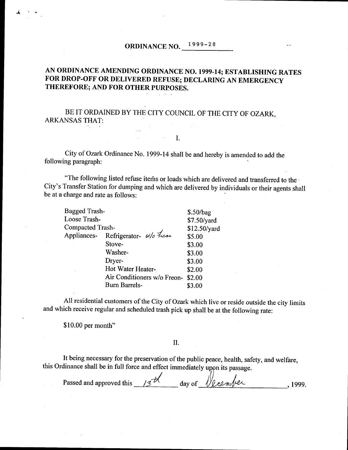# ORDINANCE NO. 1999-28

## AN ORDINANCE AMENDING ORDINANCE NO. 1999-14; ESTABLISHING RATES FOR DROP-OFF OR DELIVERED REFUSE; DECLARING AN EMERGENCY THEREFORE; AND FOR OTHER PURPOSES.

BE IT ORDAINED BY THE CITY COUNCIL OF THE CITY OF OZARK, ARKANSAS THAT:

### City of Ozark Ordinance No. 1999- 14 shall be and hereby is amended to add the following paragraph:

 $\mathbb{R}^2$  . I.

"The following listed refuse items or loads which are delivered and transferred to the City's Transfer Station for dumping and which are delivered by individuals or their agents shall be at a charge and rate as follows:

| Bagged Trash-           |                                     | \$.50/bag    |
|-------------------------|-------------------------------------|--------------|
| Loose Trash-            |                                     | \$7.50/yard  |
| <b>Compacted Trash-</b> |                                     | \$12.50/yard |
|                         | Appliances- Refrigerator- w/o Trean | \$5.00       |
|                         | Stove-                              | \$3.00       |
|                         | Washer-                             | \$3.00       |
|                         | Dryer-                              | \$3.00       |
|                         | Hot Water Heater-                   | \$2.00       |
|                         | Air Conditioners w/o Freon-         | \$2.00       |
|                         | <b>Burn Barrels-</b>                | \$3.00       |

All residential customers of the City of Ozark which live or reside outside the city limits and which receive regular and scheduled trash pick up shall be at the following rate:

\$10.00 per month"

#### II.

It being necessary for the preservation of the public peace, health, safety, and welfare, this Ordinance shall be in full force and effect immediately upon its passage.

Passed and approved this  $\frac{13}{10}$  day of  $\frac{1}{2}$  elm/elm 1999.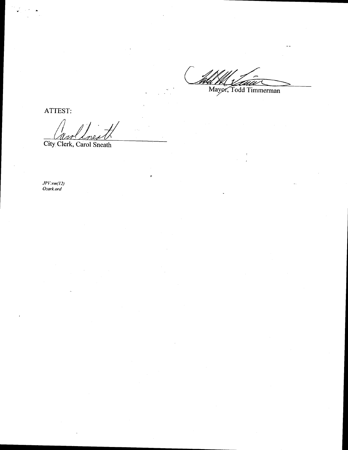WELL LAND Mayor, Todd Timmerman

ATTEST:

r

City Clerk, Carol Sneath

 $JPI$ : $rm(12)$ O\_ark.ord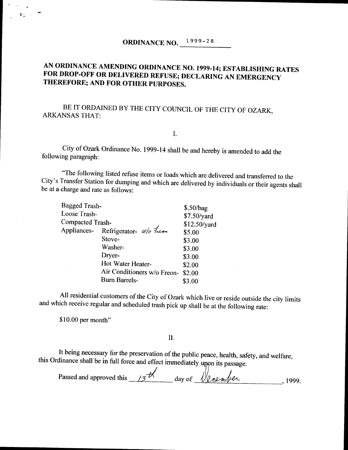# AN ORDINANCE AMENDING ORDINANCE NO. 1999-14; ESTABLISHING RATES FOR DROP-OFF OR DELIVERED REFUSE; DECLARING AN EMERGENCY THEREFORE; AND FOR OTHER PURPOSES.

## BE IT ORDAINED BY THE CITY COUNCIL OF THE CITY OF OZARK, ARKANSASTHAT:

I.

City of Ozark Ordinance No. 1999- <sup>14</sup> shall be and hereby is amended to add the following paragraph:

The following listed refuse items or loads which are delivered and transferred to the City's Transfer Station for dumping and which are delivered by individuals or their agents shall be at a charge and rate as follows:

| Bagged Trash-           |                                     | \$.50/bag    |
|-------------------------|-------------------------------------|--------------|
| Loose Trash-            |                                     | \$7.50/yard  |
| <b>Compacted Trash-</b> |                                     | \$12.50/yard |
|                         | Appliances- Refrigerator- w/o Trean | \$5.00       |
|                         | Stove-                              | \$3.00       |
|                         | Washer-                             | \$3.00       |
|                         | Dryer-                              | \$3.00       |
|                         | Hot Water Heater-                   | \$2.00       |
|                         | Air Conditioners w/o Freon-         | \$2.00       |
|                         | <b>Burn Barrels-</b>                | \$3.00       |
|                         |                                     |              |

All residential customers of the City of Ozark which live or reside outside the city limits and which receive regular and scheduled trash pick up shall be at the following rate:

\$10.00 per month"

起变性

#### II.

It being necessary for the preservation of the public peace, health, safety, and welfare, this Ordinance shall be in full force and effect immediately upon its passage.

Passed and approved this  $\frac{13}{12}$  day of  $\sqrt{$ eember 1999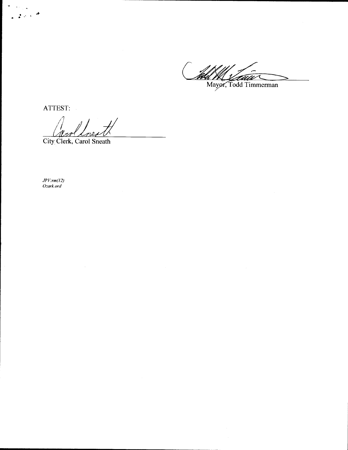Wall My Carrier Commercial

ATTEST:

 $2.286$ 

New Loves

City,Clerk, Carol Sneath

JPV.•rm( 12) Ozark.ord